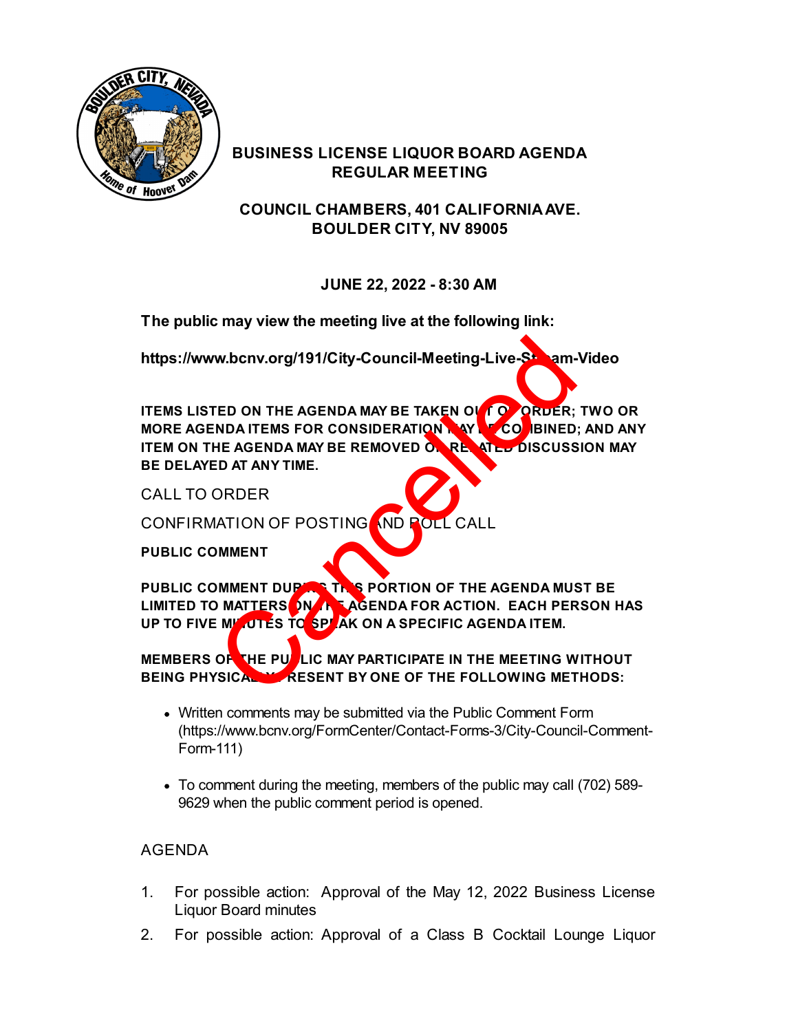

#### **BUSINESS LICENSE LIQUOR BOARD AGENDA REGULAR MEETING**

**COUNCIL CHAMBERS, 401 CALIFORNIA AVE. BOULDER CITY, NV 89005**

## **JUNE 22, 2022 - 8:30 AM**

**The public may view the meeting live at the following link:**

<https://www.bcnv.org/191/City-Council-Meeting-Live-Stream-Video>

**ITEMS LISTED ON THE AGENDA MAY BE TAKEN OUT OF ORDER; TWO OR MORE AGENDA ITEMS FOR CONSIDERATION MAY BE COMBINED; AND ANY ITEM ON THE AGENDA MAY BE REMOVED OF RELATED DISCUSSION MAY BE DELAYED AT ANY TIME.** W.bcnv.org/191/City-Council-Meeting-Live-St.<br>
ED ON THE AGENDA MAY BE TAKEN OF CORDER;<br>
THE AGENDA MAY BE REMOVED OF RELATIONS<br>
ED AT ANY TIME.<br>
ORDER<br>
CORDER<br>
CONTAINTINE.<br>
ORDER<br>
CONTERS ON A SPORTION OF THE AGENDA MUST

CALL TO ORDER

CONFIRMATION OF POSTING AND ROLL CALL

**PUBLIC COMMENT**

PUBLIC COMMENT DUPARE THIS PORTION OF THE AGENDA MUST BE LIMITED TO MATTERS ON THE AGENDA FOR ACTION. EACH PERSON HAS UP TO FIVE MIL UTES TO SPEAK ON A SPECIFIC AGENDA ITEM.

## **MEMBERS OF THE PUBLIC MAY PARTICIPATE IN THE MEETING WITHOUT** BEING PHYSICALLY RESENT BY ONE OF THE FOLLOWING METHODS:

- Written comments may be submitted via the Public Comment Form [\(https://www.bcnv.org/FormCenter/Contact-Forms-3/City-Council-Comment-](https://www.bcnv.org/FormCenter/Contact-Forms-3/City-Council-Comment-Form-111)Form-111)
- To comment during the meeting, members of the public may call (702) 589- 9629 when the public comment period is opened.

# AGENDA

- 1. [For possible action: Approval of the May 12, 2022 Business License](file:///C:/Windows/TEMP/CoverSheet.aspx?ItemID=5161&MeetingID=1159) Liquor Board minutes
- 2. [For possible action: Approval of a Class B Cocktail Lounge Liquor](file:///C:/Windows/TEMP/CoverSheet.aspx?ItemID=5165&MeetingID=1159)